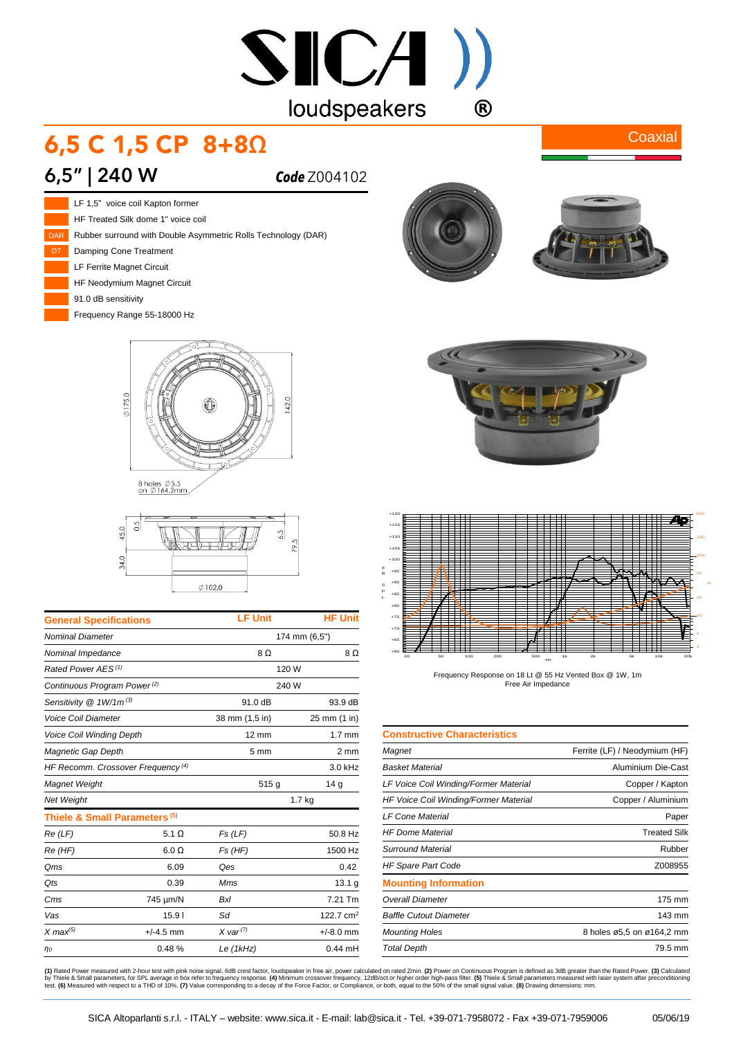# $SICA$ ) loudspeakers  $\bigcirc$

# 6,5 C 1,5 CP 8+8Ω

#### **6,5" | 240 W** *Code* Z004102



HF Treated Silk dome 1" voice coil Rubber surround with Double Asymmetric Rolls Technology (DAR) Damping Cone Treatment LF Ferrite Magnet Circuit HF Neodymium Magnet Circuit

Frequency Range 55-18000 Hz





| <b>General Specifications</b>                 | <b>LF Unit</b>        | <b>HF Unit</b>   |
|-----------------------------------------------|-----------------------|------------------|
|                                               | 174 mm (6,5")         |                  |
| Nominal Impedance                             | 8Ω                    | 8Ω               |
| Rated Power AES <sup>(1)</sup>                | 120 W                 |                  |
| Continuous Program Power <sup>(2)</sup>       | 240 W                 |                  |
| Sensitivity $@1W/1m^{(3)}$                    | 91.0 dB               | 93.9 dB          |
| Voice Coil Diameter                           | 38 mm (1,5 in)        | 25 mm (1 in)     |
| Voice Coil Winding Depth                      | $12 \text{ mm}$       | $1.7 \text{ mm}$ |
| Magnetic Gap Depth                            | $5 \text{ mm}$        | 2 mm             |
| HF Recomm. Crossover Frequency <sup>(4)</sup> |                       | 3.0 kHz          |
|                                               | 515g                  | 14 <sub>q</sub>  |
|                                               | $1.7$ kg              |                  |
| Thiele & Small Parameters <sup>(5)</sup>      |                       |                  |
| 5.1 $\Omega$                                  | Fs(LF)                | 50.8 Hz          |
| $6.0 \Omega$                                  | $Fs$ ( $HF$ )         | 1500 Hz          |
| 6.09                                          | Qes                   | 0.42             |
| 0.39                                          | Mms                   | 13.1 g           |
| 745 µm/N                                      | <b>Bxl</b>            | 7.21 Tm          |
| 15.91                                         | Sd                    | 122.7 $cm2$      |
| $+/-4.5$ mm                                   | $X \text{ var}^{(7)}$ | $+/-8.0$ mm      |
| 0.48%                                         | Le $(1kHz)$           | $0.44$ mH        |
|                                               |                       |                  |



**Coaxial** 





Frequency Response on 18 Lt @ 55 Hz Vented Box @ 1W, 1m Free Air Impedance

| <b>Constructive Characteristics</b>   |                               |
|---------------------------------------|-------------------------------|
| Magnet                                | Ferrite (LF) / Neodymium (HF) |
| Basket Material                       | Aluminium Die-Cast            |
| LF Voice Coil Winding/Former Material | Copper / Kapton               |
| HF Voice Coil Winding/Former Material | Copper / Aluminium            |
| <b>LF Cone Material</b>               | Paper                         |
| <b>HF Dome Material</b>               | <b>Treated Silk</b>           |
| Surround Material                     | Rubber                        |
| <b>HF Spare Part Code</b>             | Z008955                       |
| <b>Mounting Information</b>           |                               |
| Overall Diameter                      | 175 mm                        |
| <b>Baffle Cutout Diameter</b>         | 143 mm                        |
| <b>Mounting Holes</b>                 | 8 holes ø5,5 on ø164,2 mm     |
| <b>Total Depth</b>                    | 79.5 mm                       |

(1) Rated Power measured with 2-hour test with pink noise signal, 6dB crest factor, loudspeaker in free air, power calculated on rated 2min. (2) Power on Continuous Program is defined as 3dB greater than the Rated Power. (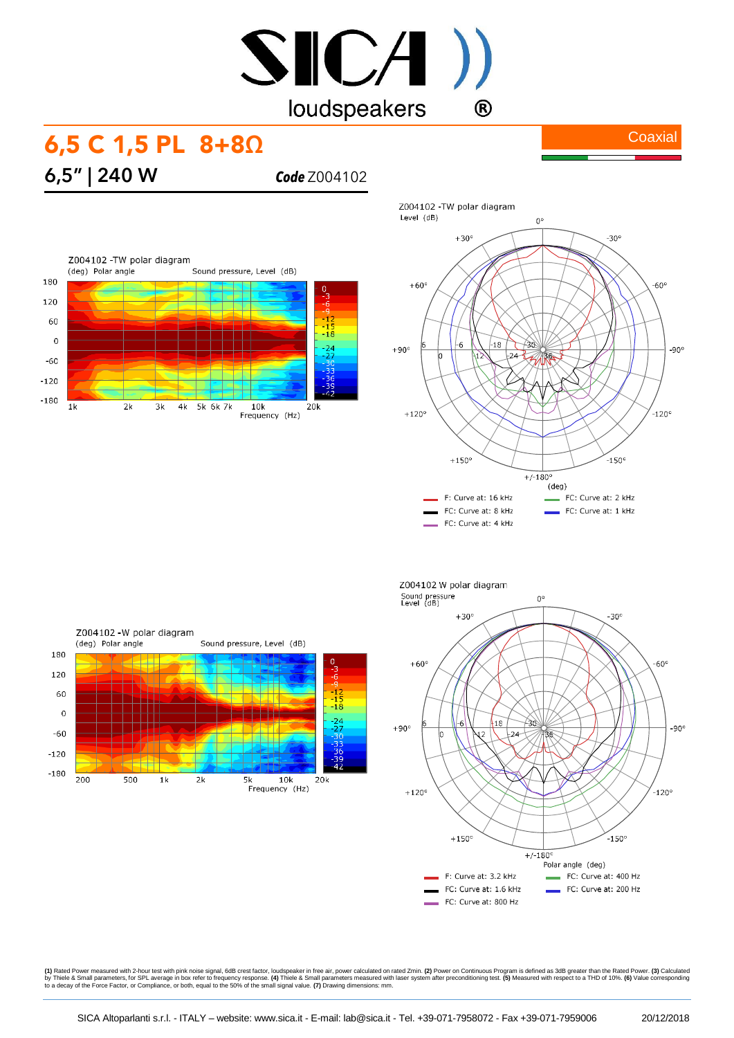# SICA) loudspeakers  $\bigcirc$

### 6,5 C 1,5 PL 8+8Ω

**6,5" | 240 W** *Code* Z004102





**Coaxial** 

Z004102 -W polar diagram (deg) Polar angle Sound pressure, Level (dB) 180 120 60  $-18$  $\overline{0}$  $\frac{-24}{-27}$  $-60$  $-120$  $-180$  $200$  $500$  $\overline{2k}$  $\overline{5k}$  $\overline{10k}$  $\overline{\mathbf{1}}$  $20k$ Frequency (Hz)



**(1)** Rated Power measured with 2-hour test with pink noise signal, 6dB crest factor, loudspeaker in free air, power calculated on rated Zmin. **(2)** Power on Continuous Program is defined as 3dB greater than the Rated Powe